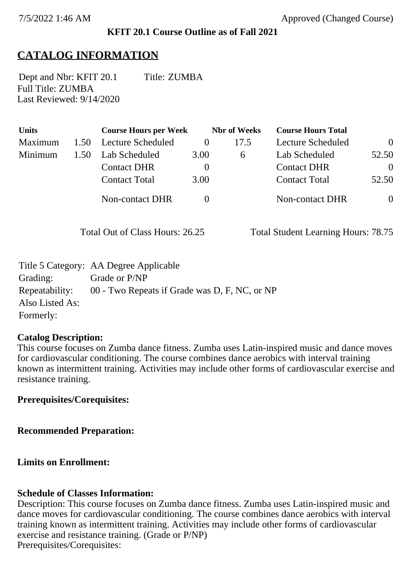### **KFIT 20.1 Course Outline as of Fall 2021**

# **CATALOG INFORMATION**

Full Title: ZUMBA Last Reviewed: 9/14/2020 Dept and Nbr: KFIT 20.1 Title: ZUMBA

| <b>Units</b> |      | <b>Course Hours per Week</b> |          | <b>Nbr</b> of Weeks | <b>Course Hours Total</b> |                |
|--------------|------|------------------------------|----------|---------------------|---------------------------|----------------|
| Maximum      | 1.50 | Lecture Scheduled            |          | 17.5                | Lecture Scheduled         | $\overline{0}$ |
| Minimum      | 1.50 | Lab Scheduled                | 3.00     | 6                   | Lab Scheduled             | 52.50          |
|              |      | <b>Contact DHR</b>           | $\theta$ |                     | <b>Contact DHR</b>        | $\theta$       |
|              |      | <b>Contact Total</b>         | 3.00     |                     | <b>Contact Total</b>      | 52.50          |
|              |      | Non-contact DHR              |          |                     | <b>Non-contact DHR</b>    | $\overline{0}$ |

Total Out of Class Hours: 26.25 Total Student Learning Hours: 78.75

|                 | Title 5 Category: AA Degree Applicable        |
|-----------------|-----------------------------------------------|
| Grading:        | Grade or P/NP                                 |
| Repeatability:  | 00 - Two Repeats if Grade was D, F, NC, or NP |
| Also Listed As: |                                               |
| Formerly:       |                                               |

#### **Catalog Description:**

This course focuses on Zumba dance fitness. Zumba uses Latin-inspired music and dance moves for cardiovascular conditioning. The course combines dance aerobics with interval training known as intermittent training. Activities may include other forms of cardiovascular exercise and resistance training.

### **Prerequisites/Corequisites:**

**Recommended Preparation:**

#### **Limits on Enrollment:**

#### **Schedule of Classes Information:**

Description: This course focuses on Zumba dance fitness. Zumba uses Latin-inspired music and dance moves for cardiovascular conditioning. The course combines dance aerobics with interval training known as intermittent training. Activities may include other forms of cardiovascular exercise and resistance training. (Grade or P/NP) Prerequisites/Corequisites: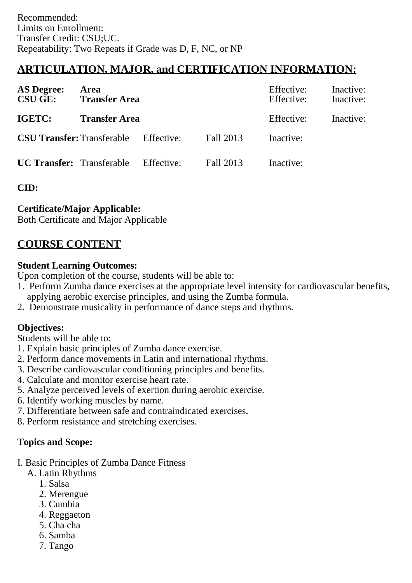# **ARTICULATION, MAJOR, and CERTIFICATION INFORMATION:**

| <b>AS Degree:</b><br><b>CSU GE:</b> | Area<br><b>Transfer Area</b>                 |            | Effective:<br>Effective: | Inactive:<br>Inactive: |  |
|-------------------------------------|----------------------------------------------|------------|--------------------------|------------------------|--|
| IGETC:                              | <b>Transfer Area</b>                         |            | Effective:               | Inactive:              |  |
|                                     | <b>CSU Transfer:</b> Transferable Effective: |            | Fall 2013                | Inactive:              |  |
| <b>UC Transfer:</b> Transferable    |                                              | Effective: | Fall 2013                | Inactive:              |  |

**CID:**

### **Certificate/Major Applicable:**

[Both Certificate and Major Applicable](SR_ClassCheck.aspx?CourseKey=KFIT20.1)

## **COURSE CONTENT**

### **Student Learning Outcomes:**

Upon completion of the course, students will be able to:

- 1. Perform Zumba dance exercises at the appropriate level intensity for cardiovascular benefits, applying aerobic exercise principles, and using the Zumba formula.
- 2. Demonstrate musicality in performance of dance steps and rhythms.

### **Objectives:**

Students will be able to:

- 1. Explain basic principles of Zumba dance exercise.
- 2. Perform dance movements in Latin and international rhythms.
- 3. Describe cardiovascular conditioning principles and benefits.
- 4. Calculate and monitor exercise heart rate.
- 5. Analyze perceived levels of exertion during aerobic exercise.
- 6. Identify working muscles by name.
- 7. Differentiate between safe and contraindicated exercises.
- 8. Perform resistance and stretching exercises.

### **Topics and Scope:**

- I. Basic Principles of Zumba Dance Fitness
	- A. Latin Rhythms
		- 1. Salsa
		- 2. Merengue
		- 3. Cumbia
		- 4. Reggaeton
		- 5. Cha cha
		- 6. Samba
		- 7. Tango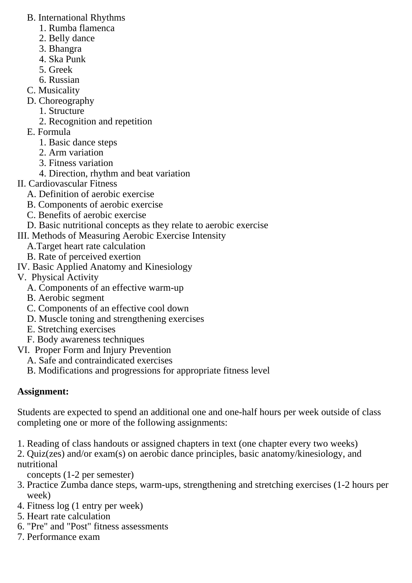- B. International Rhythms
	- 1. Rumba flamenca
	- 2. Belly dance
	- 3. Bhangra
	- 4. Ska Punk
	- 5. Greek
	- 6. Russian
- C. Musicality
- D. Choreography
	- 1. Structure
	- 2. Recognition and repetition
- E. Formula
	- 1. Basic dance steps
	- 2. Arm variation
	- 3. Fitness variation
	- 4. Direction, rhythm and beat variation
- II. Cardiovascular Fitness
	- A. Definition of aerobic exercise
	- B. Components of aerobic exercise
	- C. Benefits of aerobic exercise
	- D. Basic nutritional concepts as they relate to aerobic exercise
- III. Methods of Measuring Aerobic Exercise Intensity
	- A.Target heart rate calculation
	- B. Rate of perceived exertion
- IV. Basic Applied Anatomy and Kinesiology
- V. Physical Activity
	- A. Components of an effective warm-up
	- B. Aerobic segment
	- C. Components of an effective cool down
	- D. Muscle toning and strengthening exercises
	- E. Stretching exercises
	- F. Body awareness techniques
- VI. Proper Form and Injury Prevention
	- A. Safe and contraindicated exercises
	- B. Modifications and progressions for appropriate fitness level

# **Assignment:**

Students are expected to spend an additional one and one-half hours per week outside of class completing one or more of the following assignments:

- 1. Reading of class handouts or assigned chapters in text (one chapter every two weeks)
- 2. Quiz(zes) and/or exam(s) on aerobic dance principles, basic anatomy/kinesiology, and nutritional
	- concepts (1-2 per semester)
- 3. Practice Zumba dance steps, warm-ups, strengthening and stretching exercises (1-2 hours per week)
- 4. Fitness log (1 entry per week)
- 5. Heart rate calculation
- 6. "Pre" and "Post" fitness assessments
- 7. Performance exam